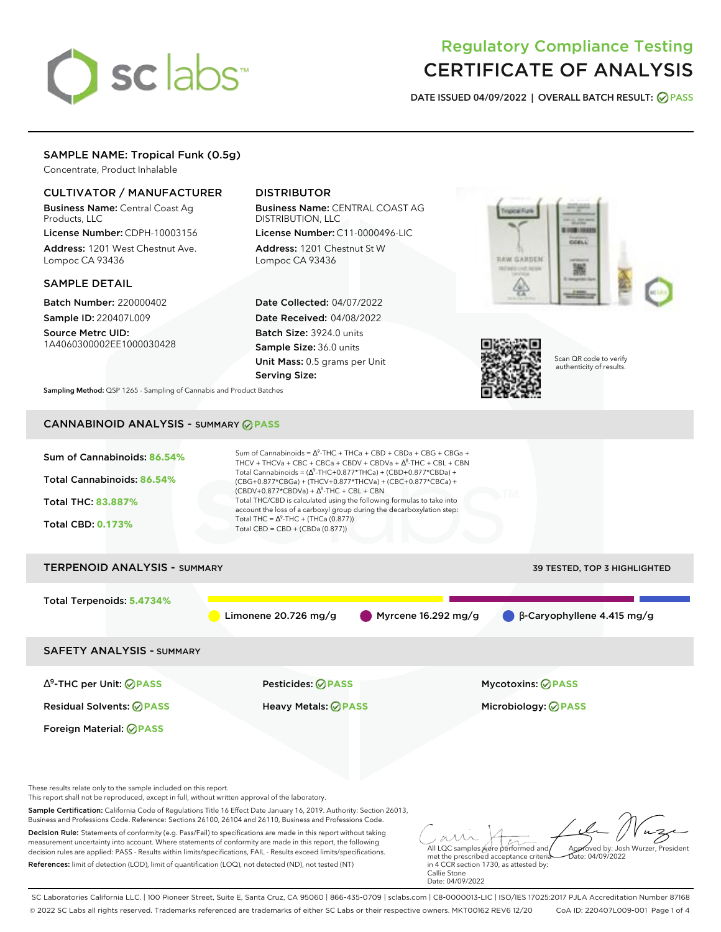# sclabs<sup>\*</sup>

# Regulatory Compliance Testing CERTIFICATE OF ANALYSIS

**DATE ISSUED 04/09/2022 | OVERALL BATCH RESULT: PASS**

#### SAMPLE NAME: Tropical Funk (0.5g)

Concentrate, Product Inhalable

#### CULTIVATOR / MANUFACTURER

Business Name: Central Coast Ag Products, LLC

License Number: CDPH-10003156 Address: 1201 West Chestnut Ave. Lompoc CA 93436

#### SAMPLE DETAIL

Batch Number: 220000402 Sample ID: 220407L009

Source Metrc UID: 1A4060300002EE1000030428

### DISTRIBUTOR

Business Name: CENTRAL COAST AG DISTRIBUTION, LLC License Number: C11-0000496-LIC

Address: 1201 Chestnut St W Lompoc CA 93436

Date Collected: 04/07/2022 Date Received: 04/08/2022 Batch Size: 3924.0 units Sample Size: 36.0 units Unit Mass: 0.5 grams per Unit Serving Size:





Scan QR code to verify authenticity of results.

**Sampling Method:** QSP 1265 - Sampling of Cannabis and Product Batches

## CANNABINOID ANALYSIS - SUMMARY **PASS**



References: limit of detection (LOD), limit of quantification (LOQ), not detected (ND), not tested (NT)

met the prescribed acceptance criteria in 4 CCR section 1730, as attested by: Callie Stone Date: 04/09/2022

SC Laboratories California LLC. | 100 Pioneer Street, Suite E, Santa Cruz, CA 95060 | 866-435-0709 | sclabs.com | C8-0000013-LIC | ISO/IES 17025:2017 PJLA Accreditation Number 87168 © 2022 SC Labs all rights reserved. Trademarks referenced are trademarks of either SC Labs or their respective owners. MKT00162 REV6 12/20 CoA ID: 220407L009-001 Page 1 of 4